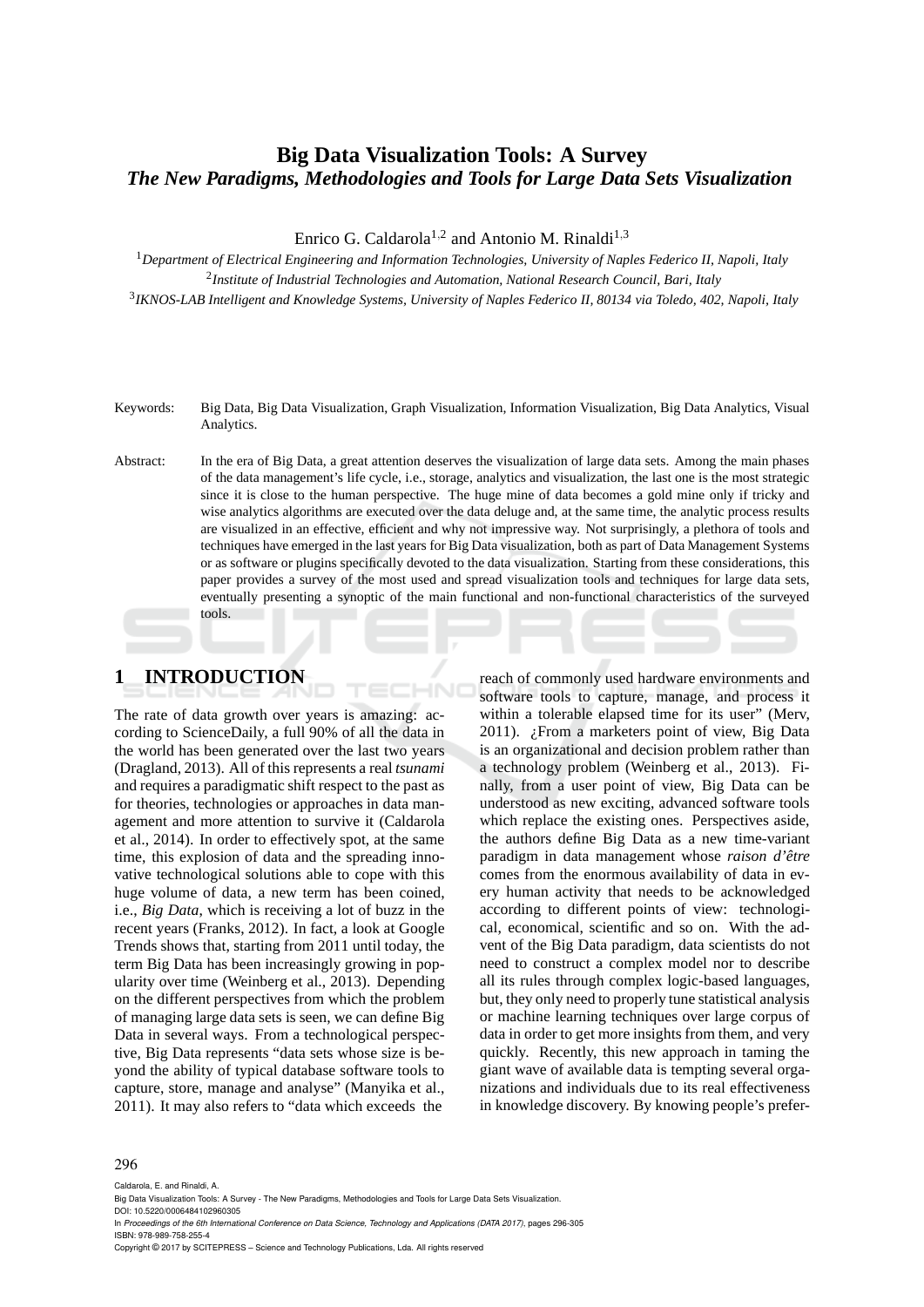### **Big Data Visualization Tools: A Survey** *The New Paradigms, Methodologies and Tools for Large Data Sets Visualization*

Enrico G. Caldarola<sup>1,2</sup> and Antonio M. Rinaldi<sup>1,3</sup>

<sup>1</sup>*Department of Electrical Engineering and Information Technologies, University of Naples Federico II, Napoli, Italy* 2 *Institute of Industrial Technologies and Automation, National Research Council, Bari, Italy* 3 *IKNOS-LAB Intelligent and Knowledge Systems, University of Naples Federico II, 80134 via Toledo, 402, Napoli, Italy*

Keywords: Big Data, Big Data Visualization, Graph Visualization, Information Visualization, Big Data Analytics, Visual Analytics.

Abstract: In the era of Big Data, a great attention deserves the visualization of large data sets. Among the main phases of the data management's life cycle, i.e., storage, analytics and visualization, the last one is the most strategic since it is close to the human perspective. The huge mine of data becomes a gold mine only if tricky and wise analytics algorithms are executed over the data deluge and, at the same time, the analytic process results are visualized in an effective, efficient and why not impressive way. Not surprisingly, a plethora of tools and techniques have emerged in the last years for Big Data visualization, both as part of Data Management Systems or as software or plugins specifically devoted to the data visualization. Starting from these considerations, this paper provides a survey of the most used and spread visualization tools and techniques for large data sets, eventually presenting a synoptic of the main functional and non-functional characteristics of the surveyed tools.

-10

# **1 INTRODUCTION**

The rate of data growth over years is amazing: according to ScienceDaily, a full 90% of all the data in the world has been generated over the last two years (Dragland, 2013). All of this represents a real *tsunami* and requires a paradigmatic shift respect to the past as for theories, technologies or approaches in data management and more attention to survive it (Caldarola et al., 2014). In order to effectively spot, at the same time, this explosion of data and the spreading innovative technological solutions able to cope with this huge volume of data, a new term has been coined, i.e., *Big Data*, which is receiving a lot of buzz in the recent years (Franks, 2012). In fact, a look at Google Trends shows that, starting from 2011 until today, the term Big Data has been increasingly growing in popularity over time (Weinberg et al., 2013). Depending on the different perspectives from which the problem of managing large data sets is seen, we can define Big Data in several ways. From a technological perspective, Big Data represents "data sets whose size is beyond the ability of typical database software tools to capture, store, manage and analyse" (Manyika et al., 2011). It may also refers to "data which exceeds the

reach of commonly used hardware environments and software tools to capture, manage, and process it within a tolerable elapsed time for its user" (Merv, 2011). ¿From a marketers point of view, Big Data is an organizational and decision problem rather than a technology problem (Weinberg et al., 2013). Finally, from a user point of view, Big Data can be understood as new exciting, advanced software tools which replace the existing ones. Perspectives aside, the authors define Big Data as a new time-variant paradigm in data management whose *raison d'être* comes from the enormous availability of data in every human activity that needs to be acknowledged according to different points of view: technological, economical, scientific and so on. With the advent of the Big Data paradigm, data scientists do not need to construct a complex model nor to describe all its rules through complex logic-based languages, but, they only need to properly tune statistical analysis or machine learning techniques over large corpus of data in order to get more insights from them, and very quickly. Recently, this new approach in taming the giant wave of available data is tempting several organizations and individuals due to its real effectiveness in knowledge discovery. By knowing people's prefer-

#### 296

Caldarola, E. and Rinaldi, A.

In *Proceedings of the 6th International Conference on Data Science, Technology and Applications (DATA 2017)*, pages 296-305 ISBN: 978-989-758-255-4

Copyright © 2017 by SCITEPRESS – Science and Technology Publications, Lda. All rights reserved

Big Data Visualization Tools: A Survey - The New Paradigms, Methodologies and Tools for Large Data Sets Visualization. DOI: 10.5220/0006484102960305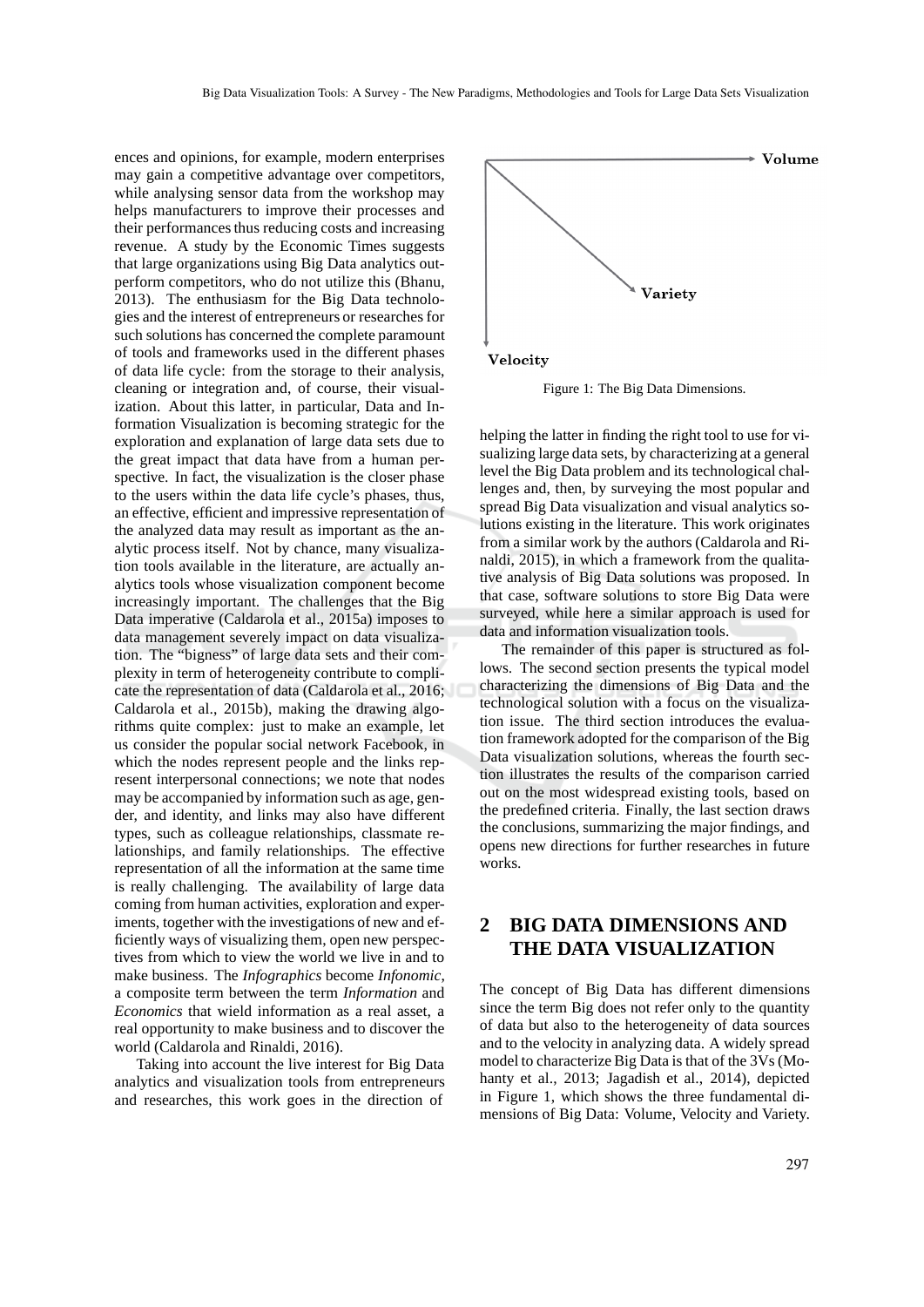ences and opinions, for example, modern enterprises may gain a competitive advantage over competitors, while analysing sensor data from the workshop may helps manufacturers to improve their processes and their performances thus reducing costs and increasing revenue. A study by the Economic Times suggests that large organizations using Big Data analytics outperform competitors, who do not utilize this (Bhanu, 2013). The enthusiasm for the Big Data technologies and the interest of entrepreneurs or researches for such solutions has concerned the complete paramount of tools and frameworks used in the different phases of data life cycle: from the storage to their analysis, cleaning or integration and, of course, their visualization. About this latter, in particular, Data and Information Visualization is becoming strategic for the exploration and explanation of large data sets due to the great impact that data have from a human perspective. In fact, the visualization is the closer phase to the users within the data life cycle's phases, thus, an effective, efficient and impressive representation of the analyzed data may result as important as the analytic process itself. Not by chance, many visualization tools available in the literature, are actually analytics tools whose visualization component become increasingly important. The challenges that the Big Data imperative (Caldarola et al., 2015a) imposes to data management severely impact on data visualization. The "bigness" of large data sets and their complexity in term of heterogeneity contribute to complicate the representation of data (Caldarola et al., 2016; Caldarola et al., 2015b), making the drawing algorithms quite complex: just to make an example, let us consider the popular social network Facebook, in which the nodes represent people and the links represent interpersonal connections; we note that nodes may be accompanied by information such as age, gender, and identity, and links may also have different types, such as colleague relationships, classmate relationships, and family relationships. The effective representation of all the information at the same time is really challenging. The availability of large data coming from human activities, exploration and experiments, together with the investigations of new and efficiently ways of visualizing them, open new perspectives from which to view the world we live in and to make business. The *Infographics* become *Infonomic*, a composite term between the term *Information* and *Economics* that wield information as a real asset, a real opportunity to make business and to discover the world (Caldarola and Rinaldi, 2016).

Taking into account the live interest for Big Data analytics and visualization tools from entrepreneurs and researches, this work goes in the direction of



Figure 1: The Big Data Dimensions.

helping the latter in finding the right tool to use for visualizing large data sets, by characterizing at a general level the Big Data problem and its technological challenges and, then, by surveying the most popular and spread Big Data visualization and visual analytics solutions existing in the literature. This work originates from a similar work by the authors (Caldarola and Rinaldi, 2015), in which a framework from the qualitative analysis of Big Data solutions was proposed. In that case, software solutions to store Big Data were surveyed, while here a similar approach is used for data and information visualization tools.

The remainder of this paper is structured as follows. The second section presents the typical model characterizing the dimensions of Big Data and the technological solution with a focus on the visualization issue. The third section introduces the evaluation framework adopted for the comparison of the Big Data visualization solutions, whereas the fourth section illustrates the results of the comparison carried out on the most widespread existing tools, based on the predefined criteria. Finally, the last section draws the conclusions, summarizing the major findings, and opens new directions for further researches in future works.

### **2 BIG DATA DIMENSIONS AND THE DATA VISUALIZATION**

The concept of Big Data has different dimensions since the term Big does not refer only to the quantity of data but also to the heterogeneity of data sources and to the velocity in analyzing data. A widely spread model to characterize Big Data is that of the 3Vs (Mohanty et al., 2013; Jagadish et al., 2014), depicted in Figure 1, which shows the three fundamental dimensions of Big Data: Volume, Velocity and Variety.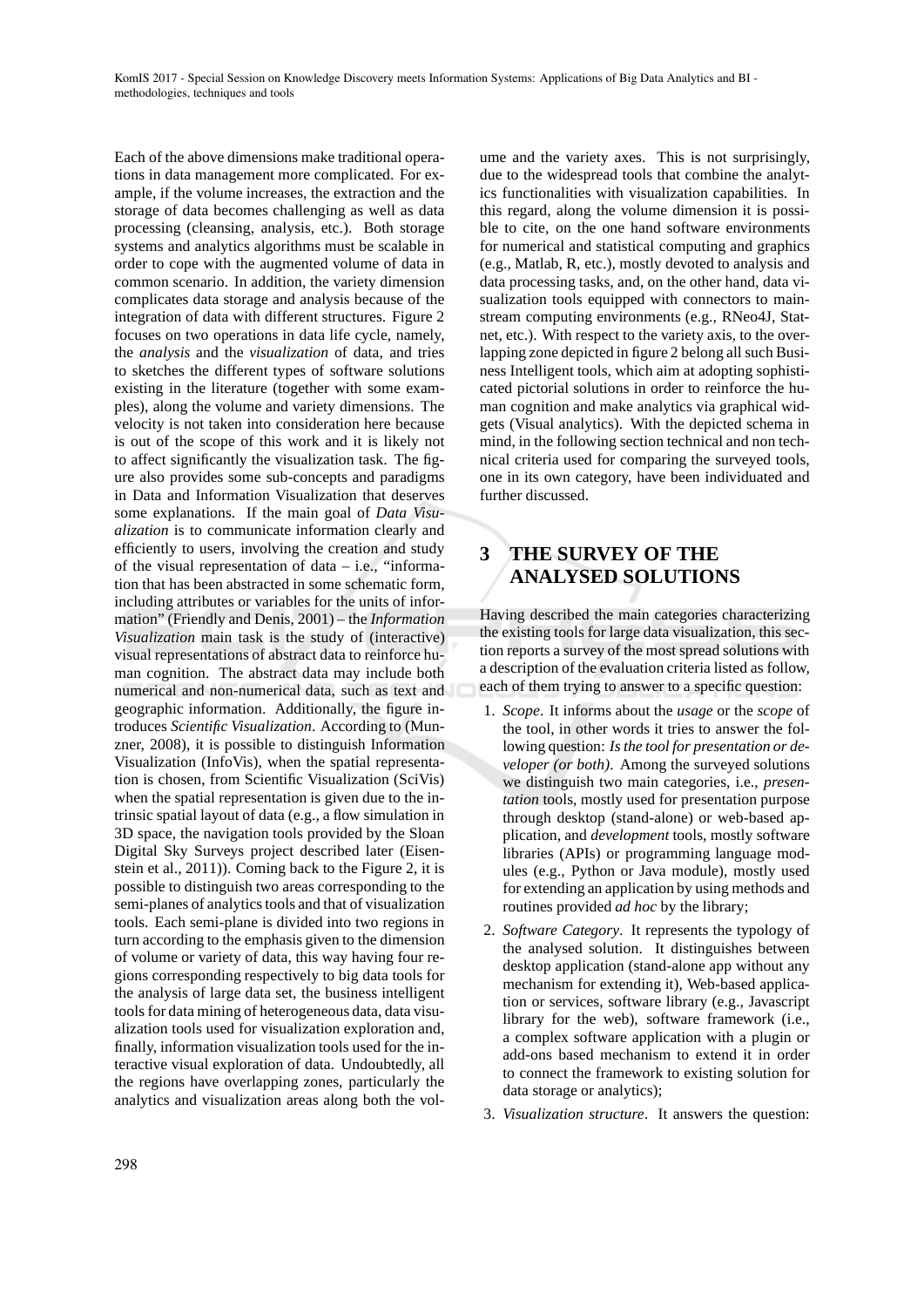Each of the above dimensions make traditional operations in data management more complicated. For example, if the volume increases, the extraction and the storage of data becomes challenging as well as data processing (cleansing, analysis, etc.). Both storage systems and analytics algorithms must be scalable in order to cope with the augmented volume of data in common scenario. In addition, the variety dimension complicates data storage and analysis because of the integration of data with different structures. Figure 2 focuses on two operations in data life cycle, namely, the *analysis* and the *visualization* of data, and tries to sketches the different types of software solutions existing in the literature (together with some examples), along the volume and variety dimensions. The velocity is not taken into consideration here because is out of the scope of this work and it is likely not to affect significantly the visualization task. The figure also provides some sub-concepts and paradigms in Data and Information Visualization that deserves some explanations. If the main goal of *Data Visualization* is to communicate information clearly and efficiently to users, involving the creation and study of the visual representation of data – i.e., "information that has been abstracted in some schematic form, including attributes or variables for the units of information" (Friendly and Denis, 2001) – the *Information Visualization* main task is the study of (interactive) visual representations of abstract data to reinforce human cognition. The abstract data may include both numerical and non-numerical data, such as text and geographic information. Additionally, the figure introduces *Scientific Visualization*. According to (Munzner, 2008), it is possible to distinguish Information Visualization (InfoVis), when the spatial representation is chosen, from Scientific Visualization (SciVis) when the spatial representation is given due to the intrinsic spatial layout of data (e.g., a flow simulation in 3D space, the navigation tools provided by the Sloan Digital Sky Surveys project described later (Eisenstein et al., 2011)). Coming back to the Figure 2, it is possible to distinguish two areas corresponding to the semi-planes of analytics tools and that of visualization tools. Each semi-plane is divided into two regions in turn according to the emphasis given to the dimension of volume or variety of data, this way having four regions corresponding respectively to big data tools for the analysis of large data set, the business intelligent tools for data mining of heterogeneous data, data visualization tools used for visualization exploration and, finally, information visualization tools used for the interactive visual exploration of data. Undoubtedly, all the regions have overlapping zones, particularly the analytics and visualization areas along both the volume and the variety axes. This is not surprisingly, due to the widespread tools that combine the analytics functionalities with visualization capabilities. In this regard, along the volume dimension it is possible to cite, on the one hand software environments for numerical and statistical computing and graphics (e.g., Matlab, R, etc.), mostly devoted to analysis and data processing tasks, and, on the other hand, data visualization tools equipped with connectors to mainstream computing environments (e.g., RNeo4J, Statnet, etc.). With respect to the variety axis, to the overlapping zone depicted in figure 2 belong all such Business Intelligent tools, which aim at adopting sophisticated pictorial solutions in order to reinforce the human cognition and make analytics via graphical widgets (Visual analytics). With the depicted schema in mind, in the following section technical and non technical criteria used for comparing the surveyed tools, one in its own category, have been individuated and further discussed.

## **3 THE SURVEY OF THE ANALYSED SOLUTIONS**

Having described the main categories characterizing the existing tools for large data visualization, this section reports a survey of the most spread solutions with a description of the evaluation criteria listed as follow, each of them trying to answer to a specific question:

- 1. *Scope*. It informs about the *usage* or the *scope* of the tool, in other words it tries to answer the following question: *Is the tool for presentation or developer (or both)*. Among the surveyed solutions we distinguish two main categories, i.e., *presentation* tools, mostly used for presentation purpose through desktop (stand-alone) or web-based application, and *development* tools, mostly software libraries (APIs) or programming language modules (e.g., Python or Java module), mostly used for extending an application by using methods and routines provided *ad hoc* by the library;
- 2. *Software Category*. It represents the typology of the analysed solution. It distinguishes between desktop application (stand-alone app without any mechanism for extending it), Web-based application or services, software library (e.g., Javascript library for the web), software framework (i.e., a complex software application with a plugin or add-ons based mechanism to extend it in order to connect the framework to existing solution for data storage or analytics);
- 3. *Visualization structure*. It answers the question: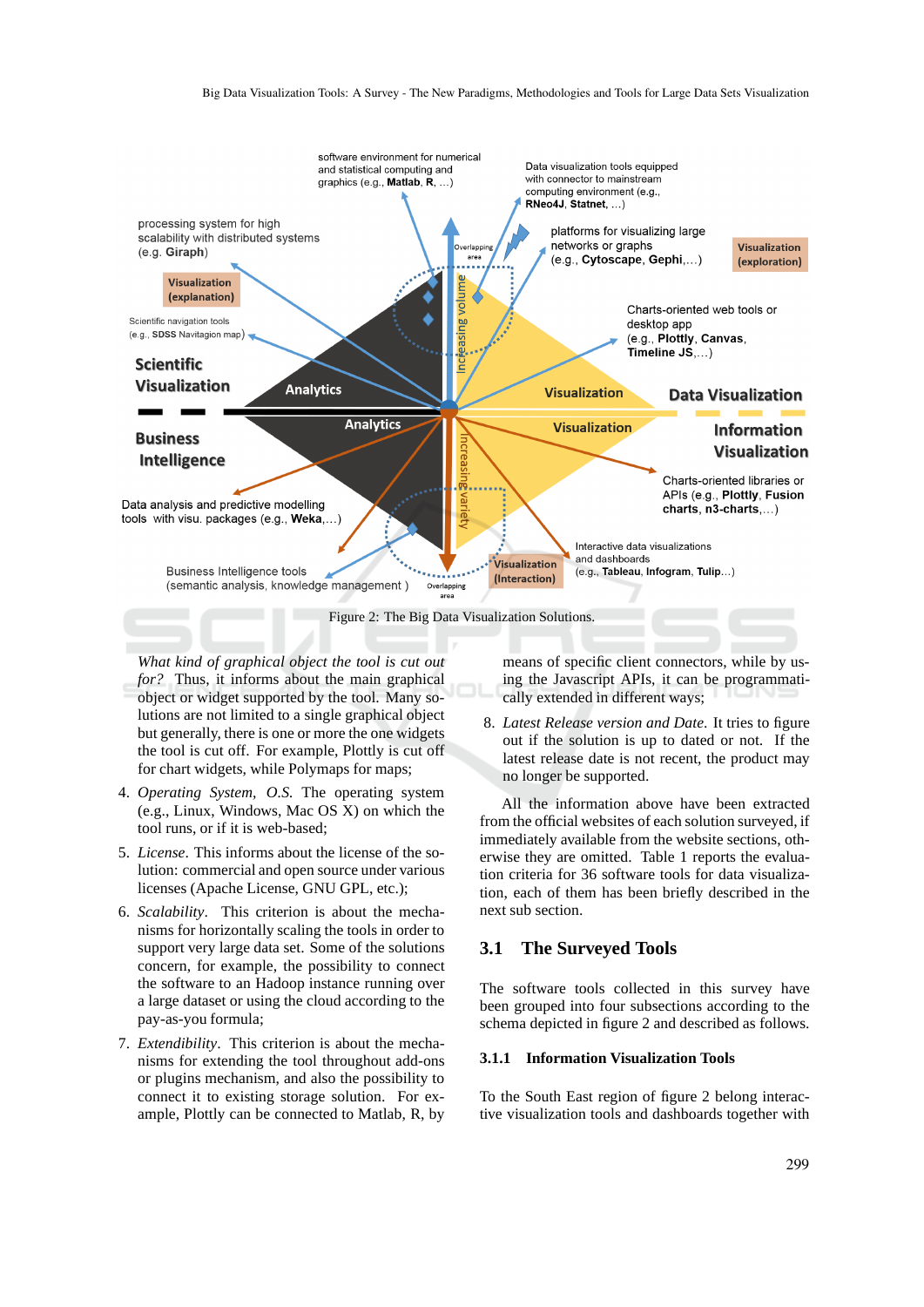

*What kind of graphical object the tool is cut out for?* Thus, it informs about the main graphical object or widget supported by the tool. Many solutions are not limited to a single graphical object but generally, there is one or more the one widgets the tool is cut off. For example, Plottly is cut off for chart widgets, while Polymaps for maps;

- 4. *Operating System, O.S.* The operating system (e.g., Linux, Windows, Mac OS X) on which the tool runs, or if it is web-based;
- 5. *License*. This informs about the license of the solution: commercial and open source under various licenses (Apache License, GNU GPL, etc.);
- 6. *Scalability*. This criterion is about the mechanisms for horizontally scaling the tools in order to support very large data set. Some of the solutions concern, for example, the possibility to connect the software to an Hadoop instance running over a large dataset or using the cloud according to the pay-as-you formula;
- 7. *Extendibility*. This criterion is about the mechanisms for extending the tool throughout add-ons or plugins mechanism, and also the possibility to connect it to existing storage solution. For example, Plottly can be connected to Matlab, R, by

means of specific client connectors, while by using the Javascript APIs, it can be programmatically extended in different ways;

8. *Latest Release version and Date*. It tries to figure out if the solution is up to dated or not. If the latest release date is not recent, the product may no longer be supported.

All the information above have been extracted from the official websites of each solution surveyed, if immediately available from the website sections, otherwise they are omitted. Table 1 reports the evaluation criteria for 36 software tools for data visualization, each of them has been briefly described in the next sub section.

### **3.1 The Surveyed Tools**

The software tools collected in this survey have been grouped into four subsections according to the schema depicted in figure 2 and described as follows.

#### **3.1.1 Information Visualization Tools**

To the South East region of figure 2 belong interactive visualization tools and dashboards together with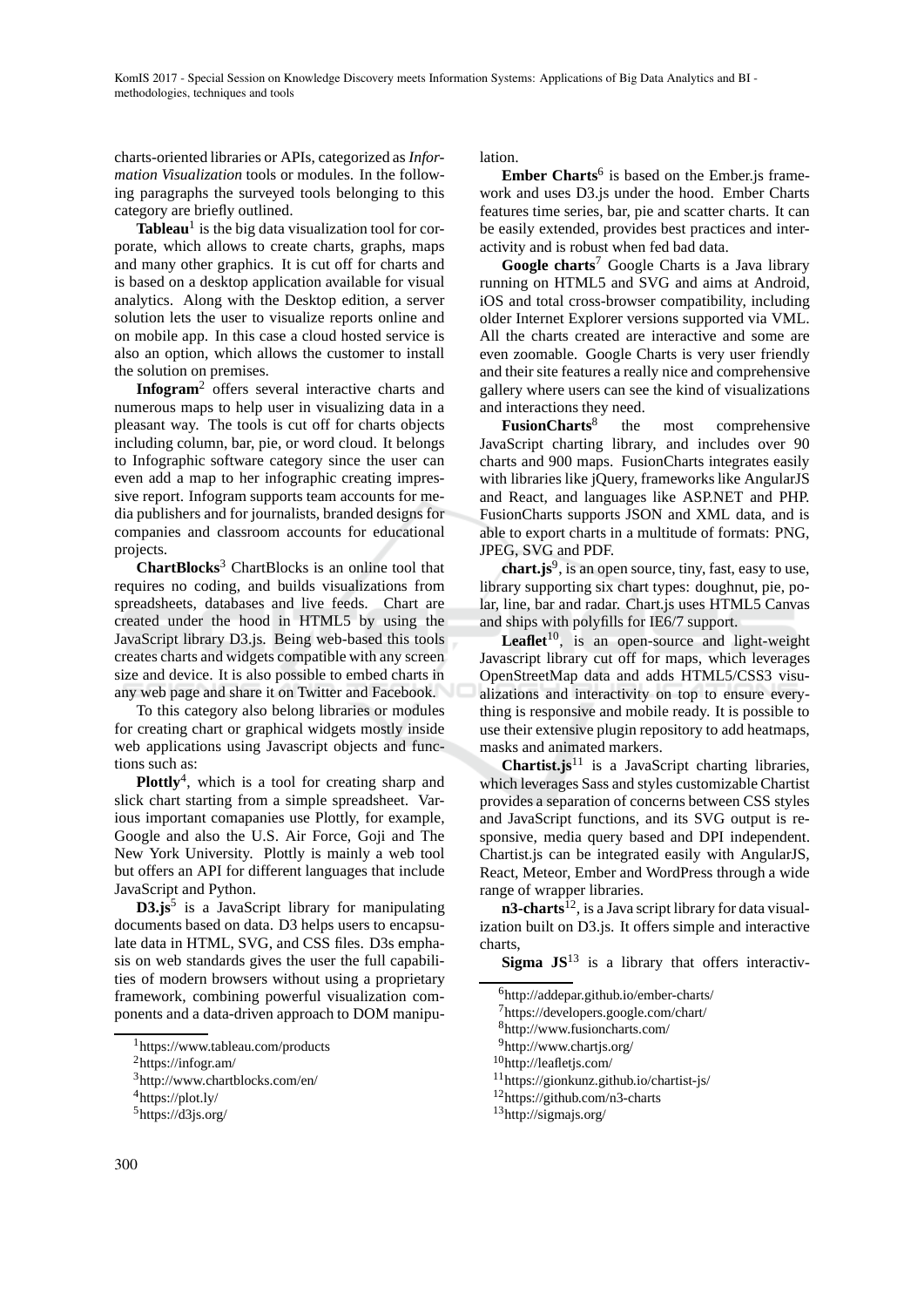charts-oriented libraries or APIs, categorized as *Information Visualization* tools or modules. In the following paragraphs the surveyed tools belonging to this category are briefly outlined.

Tableau<sup>1</sup> is the big data visualization tool for corporate, which allows to create charts, graphs, maps and many other graphics. It is cut off for charts and is based on a desktop application available for visual analytics. Along with the Desktop edition, a server solution lets the user to visualize reports online and on mobile app. In this case a cloud hosted service is also an option, which allows the customer to install the solution on premises.

**Infogram**<sup>2</sup> offers several interactive charts and numerous maps to help user in visualizing data in a pleasant way. The tools is cut off for charts objects including column, bar, pie, or word cloud. It belongs to Infographic software category since the user can even add a map to her infographic creating impressive report. Infogram supports team accounts for media publishers and for journalists, branded designs for companies and classroom accounts for educational projects.

**ChartBlocks**<sup>3</sup> ChartBlocks is an online tool that requires no coding, and builds visualizations from spreadsheets, databases and live feeds. Chart are created under the hood in HTML5 by using the JavaScript library D3.js. Being web-based this tools creates charts and widgets compatible with any screen size and device. It is also possible to embed charts in any web page and share it on Twitter and Facebook.

To this category also belong libraries or modules for creating chart or graphical widgets mostly inside web applications using Javascript objects and functions such as:

**Plottly**<sup>4</sup> , which is a tool for creating sharp and slick chart starting from a simple spreadsheet. Various important comapanies use Plottly, for example, Google and also the U.S. Air Force, Goji and The New York University. Plottly is mainly a web tool but offers an API for different languages that include JavaScript and Python.

**D3.js**<sup>5</sup> is a JavaScript library for manipulating documents based on data. D3 helps users to encapsulate data in HTML, SVG, and CSS files. D3s emphasis on web standards gives the user the full capabilities of modern browsers without using a proprietary framework, combining powerful visualization components and a data-driven approach to DOM manipulation.

Ember Charts<sup>6</sup> is based on the Ember.js framework and uses D3.js under the hood. Ember Charts features time series, bar, pie and scatter charts. It can be easily extended, provides best practices and interactivity and is robust when fed bad data.

**Google charts**<sup>7</sup> Google Charts is a Java library running on HTML5 and SVG and aims at Android, iOS and total cross-browser compatibility, including older Internet Explorer versions supported via VML. All the charts created are interactive and some are even zoomable. Google Charts is very user friendly and their site features a really nice and comprehensive gallery where users can see the kind of visualizations and interactions they need.

**FusionCharts**<sup>8</sup> the most comprehensive JavaScript charting library, and includes over 90 charts and 900 maps. FusionCharts integrates easily with libraries like jQuery, frameworks like AngularJS and React, and languages like ASP.NET and PHP. FusionCharts supports JSON and XML data, and is able to export charts in a multitude of formats: PNG, JPEG, SVG and PDF.

chart.js<sup>9</sup>, is an open source, tiny, fast, easy to use, library supporting six chart types: doughnut, pie, polar, line, bar and radar. Chart.js uses HTML5 Canvas and ships with polyfills for IE6/7 support.

Leaflet<sup>10</sup>, is an open-source and light-weight Javascript library cut off for maps, which leverages OpenStreetMap data and adds HTML5/CSS3 visualizations and interactivity on top to ensure everything is responsive and mobile ready. It is possible to use their extensive plugin repository to add heatmaps, masks and animated markers.

**Chartist.js**<sup>11</sup> is a JavaScript charting libraries, which leverages Sass and styles customizable Chartist provides a separation of concerns between CSS styles and JavaScript functions, and its SVG output is responsive, media query based and DPI independent. Chartist.js can be integrated easily with AngularJS, React, Meteor, Ember and WordPress through a wide range of wrapper libraries.

**n3-charts**<sup>12</sup>, is a Java script library for data visualization built on D3.js. It offers simple and interactive charts,

**Sigma JS**<sup>13</sup> is a library that offers interactiv-

- <sup>8</sup>http://www.fusioncharts.com/
- <sup>9</sup>http://www.chartjs.org/
- <sup>10</sup>http://leafletjs.com/

<sup>1</sup>https://www.tableau.com/products

<sup>2</sup>https://infogr.am/

<sup>3</sup>http://www.chartblocks.com/en/

<sup>4</sup>https://plot.ly/

<sup>5</sup>https://d3js.org/

<sup>6</sup>http://addepar.github.io/ember-charts/

<sup>7</sup>https://developers.google.com/chart/

<sup>11</sup>https://gionkunz.github.io/chartist-js/

<sup>12</sup>https://github.com/n3-charts

<sup>13</sup>http://sigmajs.org/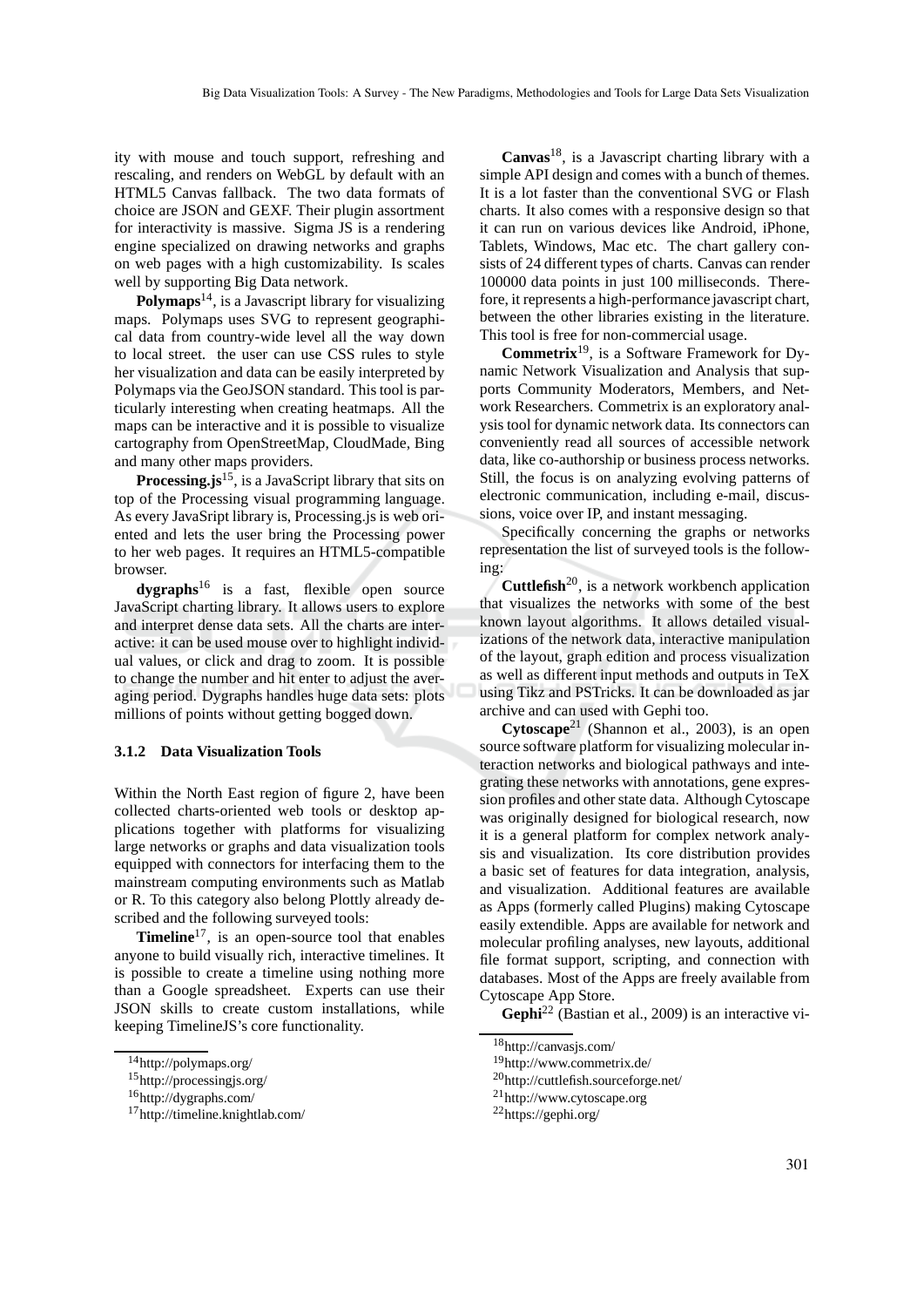ity with mouse and touch support, refreshing and rescaling, and renders on WebGL by default with an HTML5 Canvas fallback. The two data formats of choice are JSON and GEXF. Their plugin assortment for interactivity is massive. Sigma JS is a rendering engine specialized on drawing networks and graphs on web pages with a high customizability. Is scales well by supporting Big Data network.

**Polymaps**14, is a Javascript library for visualizing maps. Polymaps uses SVG to represent geographical data from country-wide level all the way down to local street. the user can use CSS rules to style her visualization and data can be easily interpreted by Polymaps via the GeoJSON standard. This tool is particularly interesting when creating heatmaps. All the maps can be interactive and it is possible to visualize cartography from OpenStreetMap, CloudMade, Bing and many other maps providers.

**Processing.js**15, is a JavaScript library that sits on top of the Processing visual programming language. As every JavaSript library is, Processing.js is web oriented and lets the user bring the Processing power to her web pages. It requires an HTML5-compatible browser.

**dygraphs**<sup>16</sup> is a fast, flexible open source JavaScript charting library. It allows users to explore and interpret dense data sets. All the charts are interactive: it can be used mouse over to highlight individual values, or click and drag to zoom. It is possible to change the number and hit enter to adjust the averaging period. Dygraphs handles huge data sets: plots millions of points without getting bogged down.

#### **3.1.2 Data Visualization Tools**

Within the North East region of figure 2, have been collected charts-oriented web tools or desktop applications together with platforms for visualizing large networks or graphs and data visualization tools equipped with connectors for interfacing them to the mainstream computing environments such as Matlab or R. To this category also belong Plottly already described and the following surveyed tools:

**Timeline**<sup>17</sup>, is an open-source tool that enables anyone to build visually rich, interactive timelines. It is possible to create a timeline using nothing more than a Google spreadsheet. Experts can use their JSON skills to create custom installations, while keeping TimelineJS's core functionality.

**Canvas**18, is a Javascript charting library with a simple API design and comes with a bunch of themes. It is a lot faster than the conventional SVG or Flash charts. It also comes with a responsive design so that it can run on various devices like Android, iPhone, Tablets, Windows, Mac etc. The chart gallery consists of 24 different types of charts. Canvas can render 100000 data points in just 100 milliseconds. Therefore, it represents a high-performance javascript chart, between the other libraries existing in the literature. This tool is free for non-commercial usage.

**Commetrix**19, is a Software Framework for Dynamic Network Visualization and Analysis that supports Community Moderators, Members, and Network Researchers. Commetrix is an exploratory analysis tool for dynamic network data. Its connectors can conveniently read all sources of accessible network data, like co-authorship or business process networks. Still, the focus is on analyzing evolving patterns of electronic communication, including e-mail, discussions, voice over IP, and instant messaging.

Specifically concerning the graphs or networks representation the list of surveyed tools is the following:

**Cuttlefish**20, is a network workbench application that visualizes the networks with some of the best known layout algorithms. It allows detailed visualizations of the network data, interactive manipulation of the layout, graph edition and process visualization as well as different input methods and outputs in TeX using Tikz and PSTricks. It can be downloaded as jar archive and can used with Gephi too.

**Cytoscape**<sup>21</sup> (Shannon et al., 2003), is an open source software platform for visualizing molecular interaction networks and biological pathways and integrating these networks with annotations, gene expression profiles and other state data. Although Cytoscape was originally designed for biological research, now it is a general platform for complex network analysis and visualization. Its core distribution provides a basic set of features for data integration, analysis, and visualization. Additional features are available as Apps (formerly called Plugins) making Cytoscape easily extendible. Apps are available for network and molecular profiling analyses, new layouts, additional file format support, scripting, and connection with databases. Most of the Apps are freely available from Cytoscape App Store.

**Gephi**<sup>22</sup> (Bastian et al., 2009) is an interactive vi-

<sup>14</sup>http://polymaps.org/

<sup>15</sup>http://processingjs.org/

<sup>16</sup>http://dygraphs.com/

<sup>17</sup>http://timeline.knightlab.com/

<sup>18</sup>http://canvasjs.com/

<sup>19</sup>http://www.commetrix.de/

<sup>20</sup>http://cuttlefish.sourceforge.net/

<sup>21</sup>http://www.cytoscape.org

<sup>22</sup>https://gephi.org/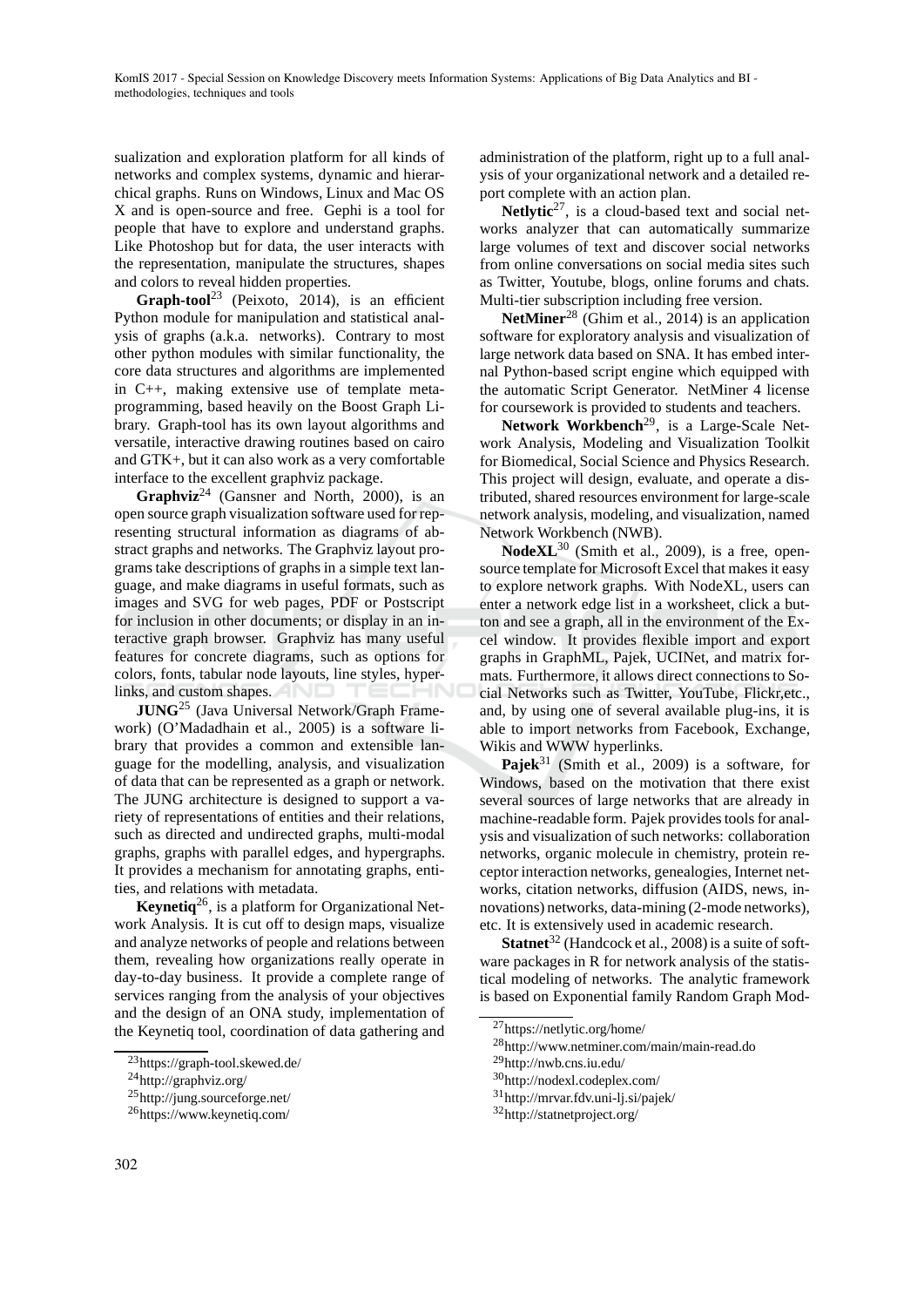sualization and exploration platform for all kinds of networks and complex systems, dynamic and hierarchical graphs. Runs on Windows, Linux and Mac OS X and is open-source and free. Gephi is a tool for people that have to explore and understand graphs. Like Photoshop but for data, the user interacts with the representation, manipulate the structures, shapes and colors to reveal hidden properties.

**Graph-tool**<sup>23</sup> (Peixoto, 2014), is an efficient Python module for manipulation and statistical analysis of graphs (a.k.a. networks). Contrary to most other python modules with similar functionality, the core data structures and algorithms are implemented in C++, making extensive use of template metaprogramming, based heavily on the Boost Graph Library. Graph-tool has its own layout algorithms and versatile, interactive drawing routines based on cairo and GTK+, but it can also work as a very comfortable interface to the excellent graphviz package.

**Graphviz**<sup>24</sup> (Gansner and North, 2000), is an open source graph visualization software used for representing structural information as diagrams of abstract graphs and networks. The Graphviz layout programs take descriptions of graphs in a simple text language, and make diagrams in useful formats, such as images and SVG for web pages, PDF or Postscript for inclusion in other documents; or display in an interactive graph browser. Graphviz has many useful features for concrete diagrams, such as options for colors, fonts, tabular node layouts, line styles, hyperlinks, and custom shapes.

**JUNG**<sup>25</sup> (Java Universal Network/Graph Framework) (O'Madadhain et al., 2005) is a software library that provides a common and extensible language for the modelling, analysis, and visualization of data that can be represented as a graph or network. The JUNG architecture is designed to support a variety of representations of entities and their relations, such as directed and undirected graphs, multi-modal graphs, graphs with parallel edges, and hypergraphs. It provides a mechanism for annotating graphs, entities, and relations with metadata.

**Keynetiq**26, is a platform for Organizational Network Analysis. It is cut off to design maps, visualize and analyze networks of people and relations between them, revealing how organizations really operate in day-to-day business. It provide a complete range of services ranging from the analysis of your objectives and the design of an ONA study, implementation of the Keynetiq tool, coordination of data gathering and

administration of the platform, right up to a full analysis of your organizational network and a detailed report complete with an action plan.

Netlytic<sup>27</sup>, is a cloud-based text and social networks analyzer that can automatically summarize large volumes of text and discover social networks from online conversations on social media sites such as Twitter, Youtube, blogs, online forums and chats. Multi-tier subscription including free version.

**NetMiner<sup>28</sup>** (Ghim et al., 2014) is an application software for exploratory analysis and visualization of large network data based on SNA. It has embed internal Python-based script engine which equipped with the automatic Script Generator. NetMiner 4 license for coursework is provided to students and teachers.

**Network Workbench**29, is a Large-Scale Network Analysis, Modeling and Visualization Toolkit for Biomedical, Social Science and Physics Research. This project will design, evaluate, and operate a distributed, shared resources environment for large-scale network analysis, modeling, and visualization, named Network Workbench (NWB).

**NodeXL**<sup>30</sup> (Smith et al., 2009), is a free, opensource template for Microsoft Excel that makes it easy to explore network graphs. With NodeXL, users can enter a network edge list in a worksheet, click a button and see a graph, all in the environment of the Excel window. It provides flexible import and export graphs in GraphML, Pajek, UCINet, and matrix formats. Furthermore, it allows direct connections to Social Networks such as Twitter, YouTube, Flickr,etc., and, by using one of several available plug-ins, it is able to import networks from Facebook, Exchange, Wikis and WWW hyperlinks.

**Pajek**<sup>31</sup> (Smith et al., 2009) is a software, for Windows, based on the motivation that there exist several sources of large networks that are already in machine-readable form. Pajek provides tools for analysis and visualization of such networks: collaboration networks, organic molecule in chemistry, protein receptor interaction networks, genealogies, Internet networks, citation networks, diffusion (AIDS, news, innovations) networks, data-mining (2-mode networks), etc. It is extensively used in academic research.

**Statnet**<sup>32</sup> (Handcock et al., 2008) is a suite of software packages in R for network analysis of the statistical modeling of networks. The analytic framework is based on Exponential family Random Graph Mod-

<sup>23</sup>https://graph-tool.skewed.de/

<sup>24</sup>http://graphviz.org/

<sup>25</sup>http://jung.sourceforge.net/

<sup>26</sup>https://www.keynetiq.com/

<sup>27</sup>https://netlytic.org/home/

<sup>28</sup>http://www.netminer.com/main/main-read.do

<sup>29</sup>http://nwb.cns.iu.edu/

<sup>30</sup>http://nodexl.codeplex.com/

<sup>31</sup>http://mrvar.fdv.uni-lj.si/pajek/

<sup>32</sup>http://statnetproject.org/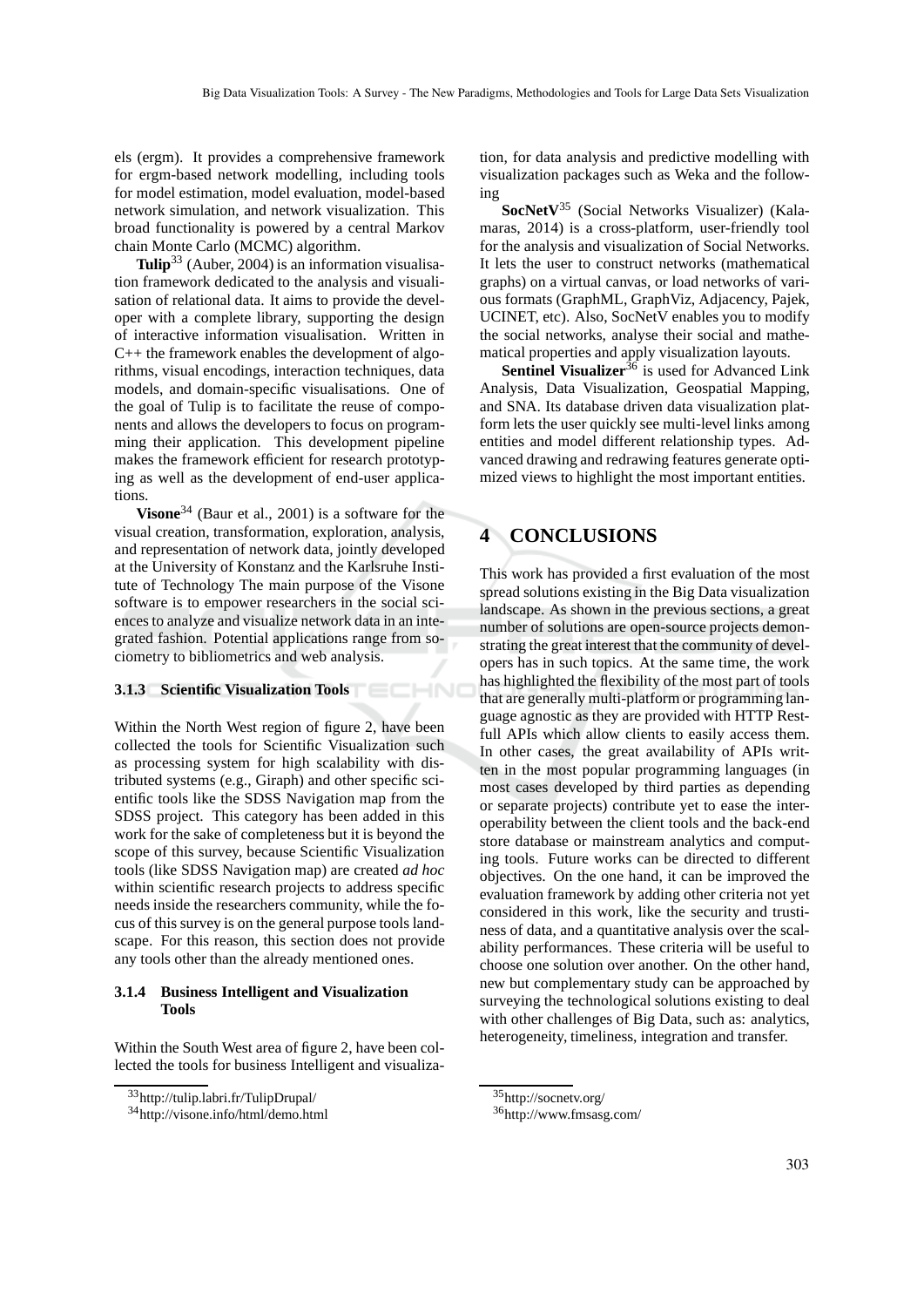els (ergm). It provides a comprehensive framework for ergm-based network modelling, including tools for model estimation, model evaluation, model-based network simulation, and network visualization. This broad functionality is powered by a central Markov chain Monte Carlo (MCMC) algorithm.

**Tulip**<sup>33</sup> (Auber, 2004) is an information visualisation framework dedicated to the analysis and visualisation of relational data. It aims to provide the developer with a complete library, supporting the design of interactive information visualisation. Written in C++ the framework enables the development of algorithms, visual encodings, interaction techniques, data models, and domain-specific visualisations. One of the goal of Tulip is to facilitate the reuse of components and allows the developers to focus on programming their application. This development pipeline makes the framework efficient for research prototyping as well as the development of end-user applications.

**Visone**<sup>34</sup> (Baur et al., 2001) is a software for the visual creation, transformation, exploration, analysis, and representation of network data, jointly developed at the University of Konstanz and the Karlsruhe Institute of Technology The main purpose of the Visone software is to empower researchers in the social sciences to analyze and visualize network data in an integrated fashion. Potential applications range from sociometry to bibliometrics and web analysis.

#### **3.1.3 Scientific Visualization Tools**

Within the North West region of figure 2, have been collected the tools for Scientific Visualization such as processing system for high scalability with distributed systems (e.g., Giraph) and other specific scientific tools like the SDSS Navigation map from the SDSS project. This category has been added in this work for the sake of completeness but it is beyond the scope of this survey, because Scientific Visualization tools (like SDSS Navigation map) are created *ad hoc* within scientific research projects to address specific needs inside the researchers community, while the focus of this survey is on the general purpose tools landscape. For this reason, this section does not provide any tools other than the already mentioned ones.

#### **3.1.4 Business Intelligent and Visualization Tools**

Within the South West area of figure 2, have been collected the tools for business Intelligent and visualiza-

tion, for data analysis and predictive modelling with visualization packages such as Weka and the following

**SocNetV**<sup>35</sup> (Social Networks Visualizer) (Kalamaras, 2014) is a cross-platform, user-friendly tool for the analysis and visualization of Social Networks. It lets the user to construct networks (mathematical graphs) on a virtual canvas, or load networks of various formats (GraphML, GraphViz, Adjacency, Pajek, UCINET, etc). Also, SocNetV enables you to modify the social networks, analyse their social and mathematical properties and apply visualization layouts.

**Sentinel Visualizer<sup>36</sup>** is used for Advanced Link Analysis, Data Visualization, Geospatial Mapping, and SNA. Its database driven data visualization platform lets the user quickly see multi-level links among entities and model different relationship types. Advanced drawing and redrawing features generate optimized views to highlight the most important entities.

### **4 CONCLUSIONS**

This work has provided a first evaluation of the most spread solutions existing in the Big Data visualization landscape. As shown in the previous sections, a great number of solutions are open-source projects demonstrating the great interest that the community of developers has in such topics. At the same time, the work has highlighted the flexibility of the most part of tools that are generally multi-platform or programming language agnostic as they are provided with HTTP Restfull APIs which allow clients to easily access them. In other cases, the great availability of APIs written in the most popular programming languages (in most cases developed by third parties as depending or separate projects) contribute yet to ease the interoperability between the client tools and the back-end store database or mainstream analytics and computing tools. Future works can be directed to different objectives. On the one hand, it can be improved the evaluation framework by adding other criteria not yet considered in this work, like the security and trustiness of data, and a quantitative analysis over the scalability performances. These criteria will be useful to choose one solution over another. On the other hand, new but complementary study can be approached by surveying the technological solutions existing to deal with other challenges of Big Data, such as: analytics, heterogeneity, timeliness, integration and transfer.

<sup>33</sup>http://tulip.labri.fr/TulipDrupal/

<sup>34</sup>http://visone.info/html/demo.html

<sup>35</sup>http://socnetv.org/

<sup>36</sup>http://www.fmsasg.com/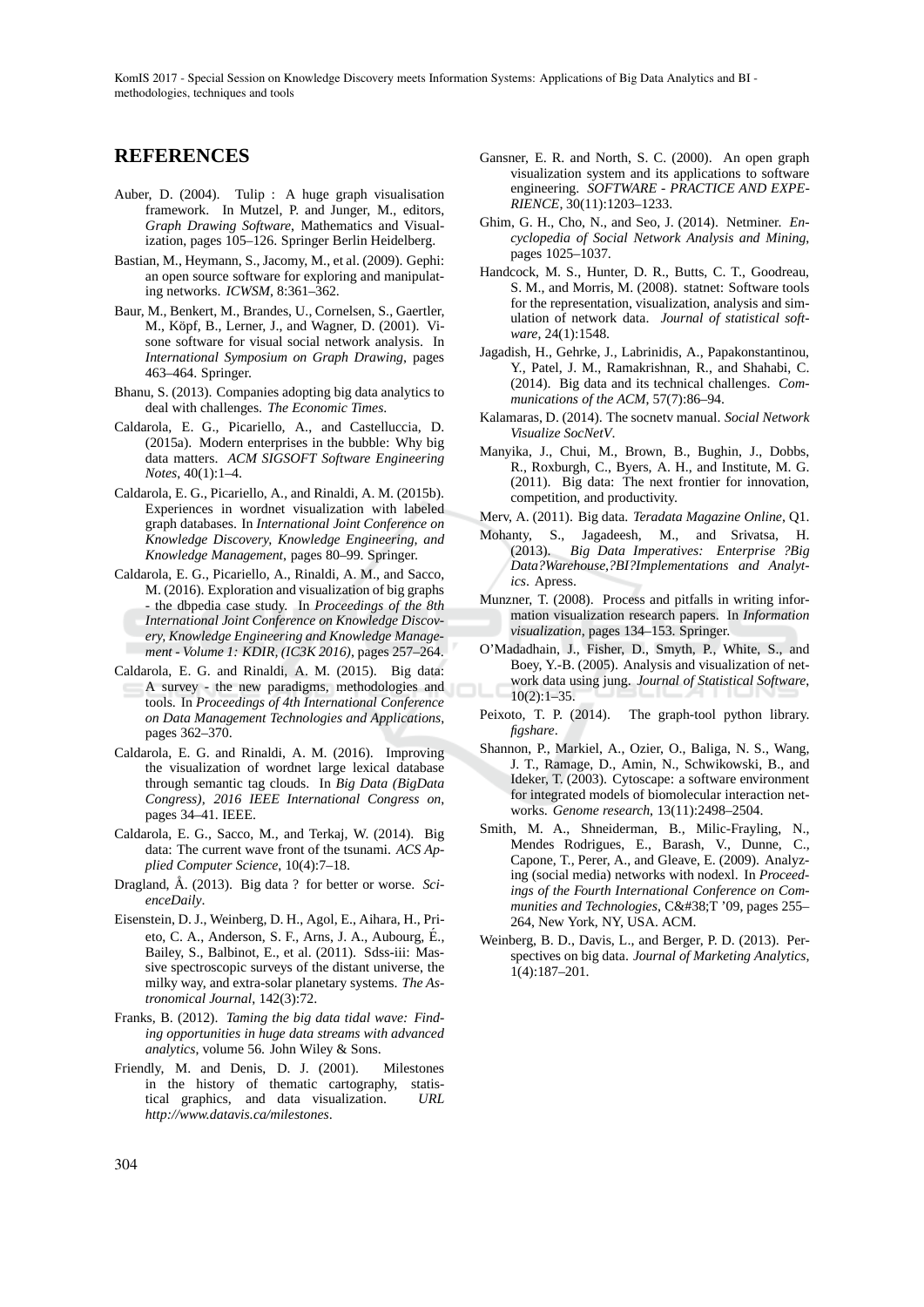KomIS 2017 - Special Session on Knowledge Discovery meets Information Systems: Applications of Big Data Analytics and BI methodologies, techniques and tools

### **REFERENCES**

- Auber, D. (2004). Tulip : A huge graph visualisation framework. In Mutzel, P. and Junger, M., editors, *Graph Drawing Software*, Mathematics and Visualization, pages 105–126. Springer Berlin Heidelberg.
- Bastian, M., Heymann, S., Jacomy, M., et al. (2009). Gephi: an open source software for exploring and manipulating networks. *ICWSM*, 8:361–362.
- Baur, M., Benkert, M., Brandes, U., Cornelsen, S., Gaertler, M., Köpf, B., Lerner, J., and Wagner, D. (2001). Visone software for visual social network analysis. In *International Symposium on Graph Drawing*, pages 463–464. Springer.
- Bhanu, S. (2013). Companies adopting big data analytics to deal with challenges. *The Economic Times*.
- Caldarola, E. G., Picariello, A., and Castelluccia, D. (2015a). Modern enterprises in the bubble: Why big data matters. *ACM SIGSOFT Software Engineering Notes*, 40(1):1–4.
- Caldarola, E. G., Picariello, A., and Rinaldi, A. M. (2015b). Experiences in wordnet visualization with labeled graph databases. In *International Joint Conference on Knowledge Discovery, Knowledge Engineering, and Knowledge Management*, pages 80–99. Springer.
- Caldarola, E. G., Picariello, A., Rinaldi, A. M., and Sacco, M. (2016). Exploration and visualization of big graphs - the dbpedia case study. In *Proceedings of the 8th International Joint Conference on Knowledge Discovery, Knowledge Engineering and Knowledge Management - Volume 1: KDIR, (IC3K 2016)*, pages 257–264.
- Caldarola, E. G. and Rinaldi, A. M. (2015). Big data: A survey - the new paradigms, methodologies and tools. In *Proceedings of 4th International Conference on Data Management Technologies and Applications*, pages 362–370.
- Caldarola, E. G. and Rinaldi, A. M. (2016). Improving the visualization of wordnet large lexical database through semantic tag clouds. In *Big Data (BigData Congress), 2016 IEEE International Congress on*, pages 34–41. IEEE.
- Caldarola, E. G., Sacco, M., and Terkaj, W. (2014). Big data: The current wave front of the tsunami. *ACS Applied Computer Science*, 10(4):7–18.
- Dragland, Å. (2013). Big data ? for better or worse. Sci*enceDaily*.
- Eisenstein, D. J., Weinberg, D. H., Agol, E., Aihara, H., Prieto, C. A., Anderson, S. F., Arns, J. A., Aubourg, E., ´ Bailey, S., Balbinot, E., et al. (2011). Sdss-iii: Massive spectroscopic surveys of the distant universe, the milky way, and extra-solar planetary systems. *The Astronomical Journal*, 142(3):72.
- Franks, B. (2012). *Taming the big data tidal wave: Finding opportunities in huge data streams with advanced analytics*, volume 56. John Wiley & Sons.
- Friendly, M. and Denis, D. J. (2001). Milestones in the history of thematic cartography, statistical graphics, and data visualization. *URL http://www.datavis.ca/milestones*.
- Gansner, E. R. and North, S. C. (2000). An open graph visualization system and its applications to software engineering. *SOFTWARE - PRACTICE AND EXPE-RIENCE*, 30(11):1203–1233.
- Ghim, G. H., Cho, N., and Seo, J. (2014). Netminer. *Encyclopedia of Social Network Analysis and Mining*, pages 1025–1037.
- Handcock, M. S., Hunter, D. R., Butts, C. T., Goodreau, S. M., and Morris, M. (2008). statnet: Software tools for the representation, visualization, analysis and simulation of network data. *Journal of statistical software*, 24(1):1548.
- Jagadish, H., Gehrke, J., Labrinidis, A., Papakonstantinou, Y., Patel, J. M., Ramakrishnan, R., and Shahabi, C. (2014). Big data and its technical challenges. *Communications of the ACM*, 57(7):86–94.
- Kalamaras, D. (2014). The socnetv manual. *Social Network Visualize SocNetV*.
- Manyika, J., Chui, M., Brown, B., Bughin, J., Dobbs, R., Roxburgh, C., Byers, A. H., and Institute, M. G. (2011). Big data: The next frontier for innovation, competition, and productivity.
- Merv, A. (2011). Big data. *Teradata Magazine Online*, Q1.
- Mohanty, S., Jagadeesh, M., and Srivatsa, H. (2013). *Big Data Imperatives: Enterprise ?Big Data?Warehouse,?BI?Implementations and Analytics*. Apress.
- Munzner, T. (2008). Process and pitfalls in writing information visualization research papers. In *Information visualization*, pages 134–153. Springer.
- O'Madadhain, J., Fisher, D., Smyth, P., White, S., and Boey, Y.-B. (2005). Analysis and visualization of network data using jung. *Journal of Statistical Software*, 10(2):1–35.
- Peixoto, T. P. (2014). The graph-tool python library. *figshare*.
- Shannon, P., Markiel, A., Ozier, O., Baliga, N. S., Wang, J. T., Ramage, D., Amin, N., Schwikowski, B., and Ideker, T. (2003). Cytoscape: a software environment for integrated models of biomolecular interaction networks. *Genome research*, 13(11):2498–2504.
- Smith, M. A., Shneiderman, B., Milic-Frayling, N., Mendes Rodrigues, E., Barash, V., Dunne, C., Capone, T., Perer, A., and Gleave, E. (2009). Analyzing (social media) networks with nodexl. In *Proceedings of the Fourth International Conference on Com*munities and Technologies, C&T '09, pages 255– 264, New York, NY, USA. ACM.
- Weinberg, B. D., Davis, L., and Berger, P. D. (2013). Perspectives on big data. *Journal of Marketing Analytics*, 1(4):187–201.